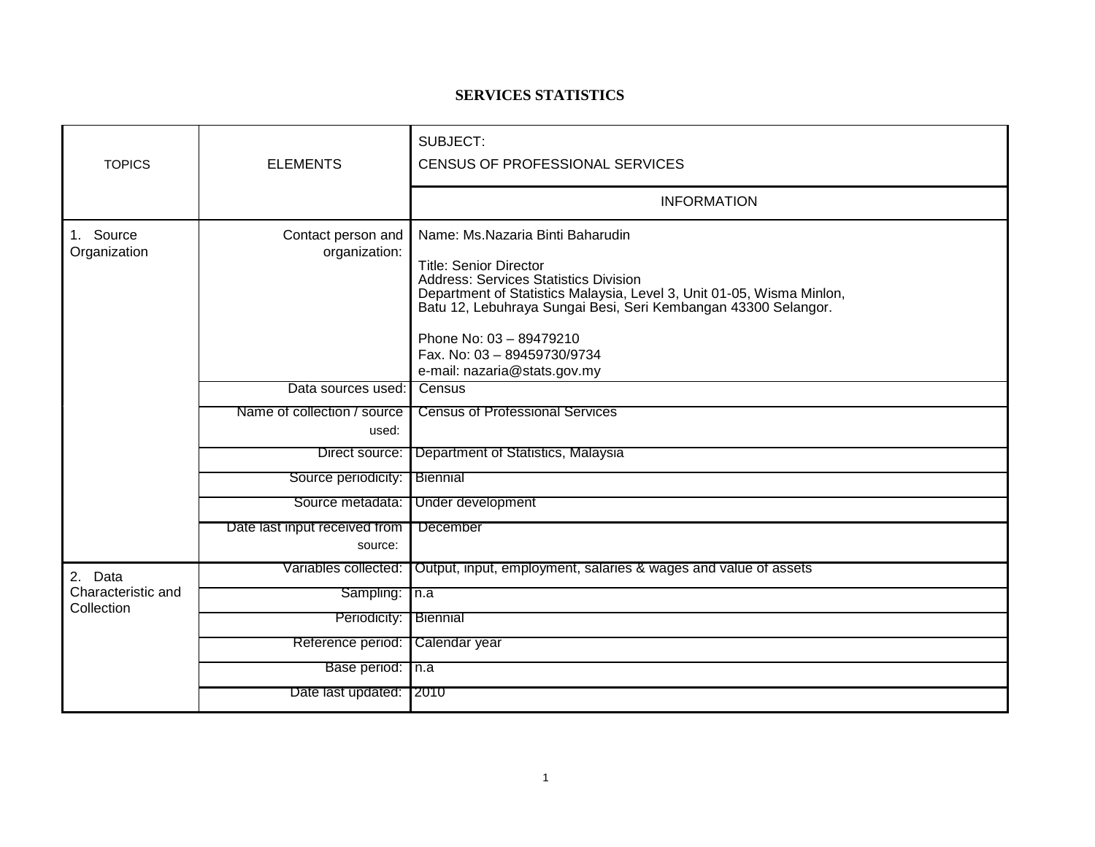## **SERVICES STATISTICS**

| <b>TOPICS</b>                               | <b>ELEMENTS</b>                          | SUBJECT:<br>CENSUS OF PROFESSIONAL SERVICES                                                                                                                                                                                                                                                                                                            |
|---------------------------------------------|------------------------------------------|--------------------------------------------------------------------------------------------------------------------------------------------------------------------------------------------------------------------------------------------------------------------------------------------------------------------------------------------------------|
|                                             |                                          | <b>INFORMATION</b>                                                                                                                                                                                                                                                                                                                                     |
| 1. Source<br>Organization                   | Contact person and<br>organization:      | Name: Ms.Nazaria Binti Baharudin<br><b>Title: Senior Director</b><br><b>Address: Services Statistics Division</b><br>Department of Statistics Malaysia, Level 3, Unit 01-05, Wisma Minlon,<br>Batu 12, Lebuhraya Sungai Besi, Seri Kembangan 43300 Selangor.<br>Phone No: 03 - 89479210<br>Fax. No: 03 - 89459730/9734<br>e-mail: nazaria@stats.gov.my |
|                                             | Data sources used:                       | Census                                                                                                                                                                                                                                                                                                                                                 |
|                                             | Name of collection / source<br>used:     | <b>Census of Professional Services</b>                                                                                                                                                                                                                                                                                                                 |
|                                             | Direct source:                           | Department of Statistics, Malaysia                                                                                                                                                                                                                                                                                                                     |
|                                             | Source periodicity:                      | <b>Biennial</b>                                                                                                                                                                                                                                                                                                                                        |
|                                             | Source metadata:                         | Under development                                                                                                                                                                                                                                                                                                                                      |
|                                             | Date last input received from<br>source: | December                                                                                                                                                                                                                                                                                                                                               |
| 2. Data<br>Characteristic and<br>Collection | Variables collected:                     | Output, input, employment, salaries & wages and value of assets                                                                                                                                                                                                                                                                                        |
|                                             | Sampling: In.a                           |                                                                                                                                                                                                                                                                                                                                                        |
|                                             | Periodicity:                             | <b>Biennial</b>                                                                                                                                                                                                                                                                                                                                        |
|                                             | Reference period:                        | Calendar year                                                                                                                                                                                                                                                                                                                                          |
|                                             | Base period: n.a                         |                                                                                                                                                                                                                                                                                                                                                        |
|                                             | Date last updated: 2010                  |                                                                                                                                                                                                                                                                                                                                                        |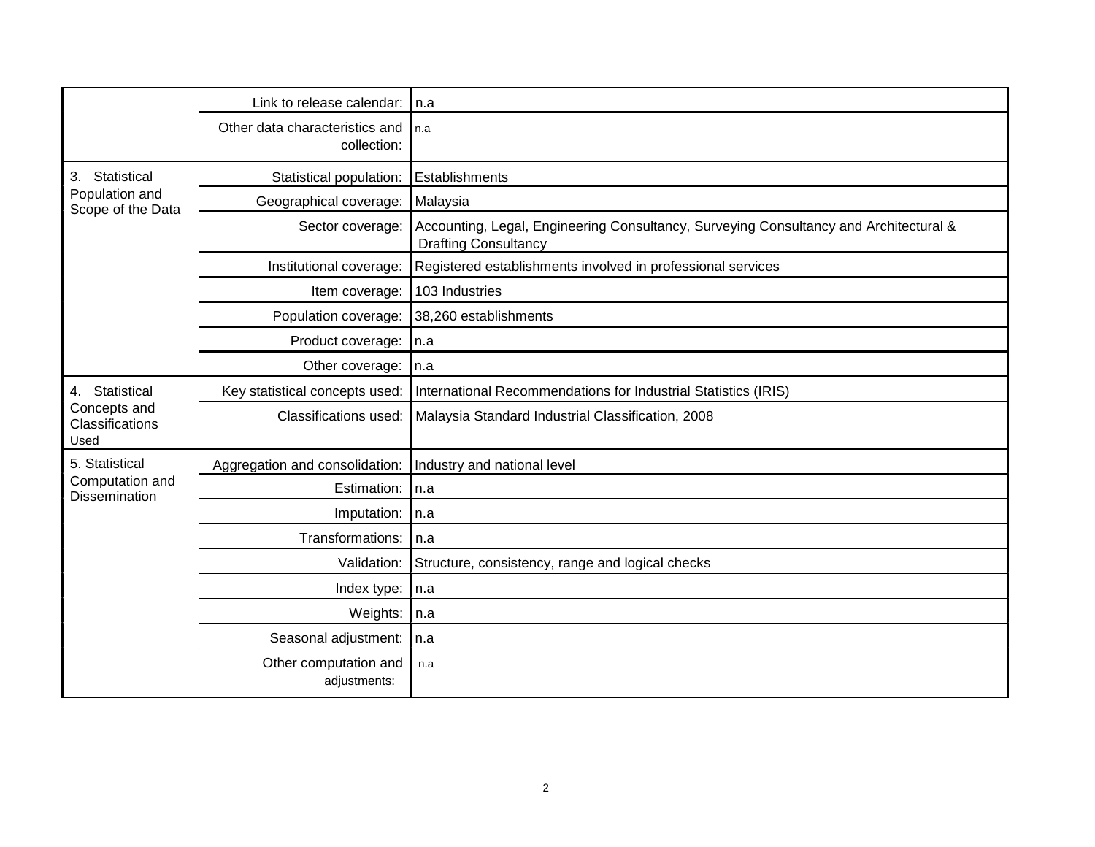|                                                           | Link to release calendar:                     | l n.a                                                                                                                |
|-----------------------------------------------------------|-----------------------------------------------|----------------------------------------------------------------------------------------------------------------------|
|                                                           | Other data characteristics and<br>collection: | l n.a                                                                                                                |
| Statistical<br>3.<br>Population and<br>Scope of the Data  | Statistical population:                       | Establishments                                                                                                       |
|                                                           | Geographical coverage:                        | Malaysia                                                                                                             |
|                                                           | Sector coverage:                              | Accounting, Legal, Engineering Consultancy, Surveying Consultancy and Architectural &<br><b>Drafting Consultancy</b> |
|                                                           | Institutional coverage:                       | Registered establishments involved in professional services                                                          |
|                                                           | Item coverage:                                | 103 Industries                                                                                                       |
|                                                           | Population coverage:                          | 38,260 establishments                                                                                                |
|                                                           | Product coverage:                             | In.a                                                                                                                 |
|                                                           | Other coverage:                               | In.a                                                                                                                 |
| 4. Statistical<br>Concepts and<br>Classifications<br>Used | Key statistical concepts used:                | International Recommendations for Industrial Statistics (IRIS)                                                       |
|                                                           | Classifications used:                         | Malaysia Standard Industrial Classification, 2008                                                                    |
| 5. Statistical                                            | Aggregation and consolidation:                | Industry and national level                                                                                          |
| Computation and<br><b>Dissemination</b>                   | Estimation:                                   | In.a                                                                                                                 |
|                                                           | Imputation:                                   | n.a                                                                                                                  |
|                                                           | Transformations:                              | l n.a                                                                                                                |
|                                                           | Validation:                                   | Structure, consistency, range and logical checks                                                                     |
|                                                           | Index type:                                   | n.a                                                                                                                  |
|                                                           | Weights:                                      | l n.a                                                                                                                |
|                                                           | Seasonal adjustment:                          | n.a                                                                                                                  |
|                                                           | Other computation and<br>adjustments:         | n.a                                                                                                                  |